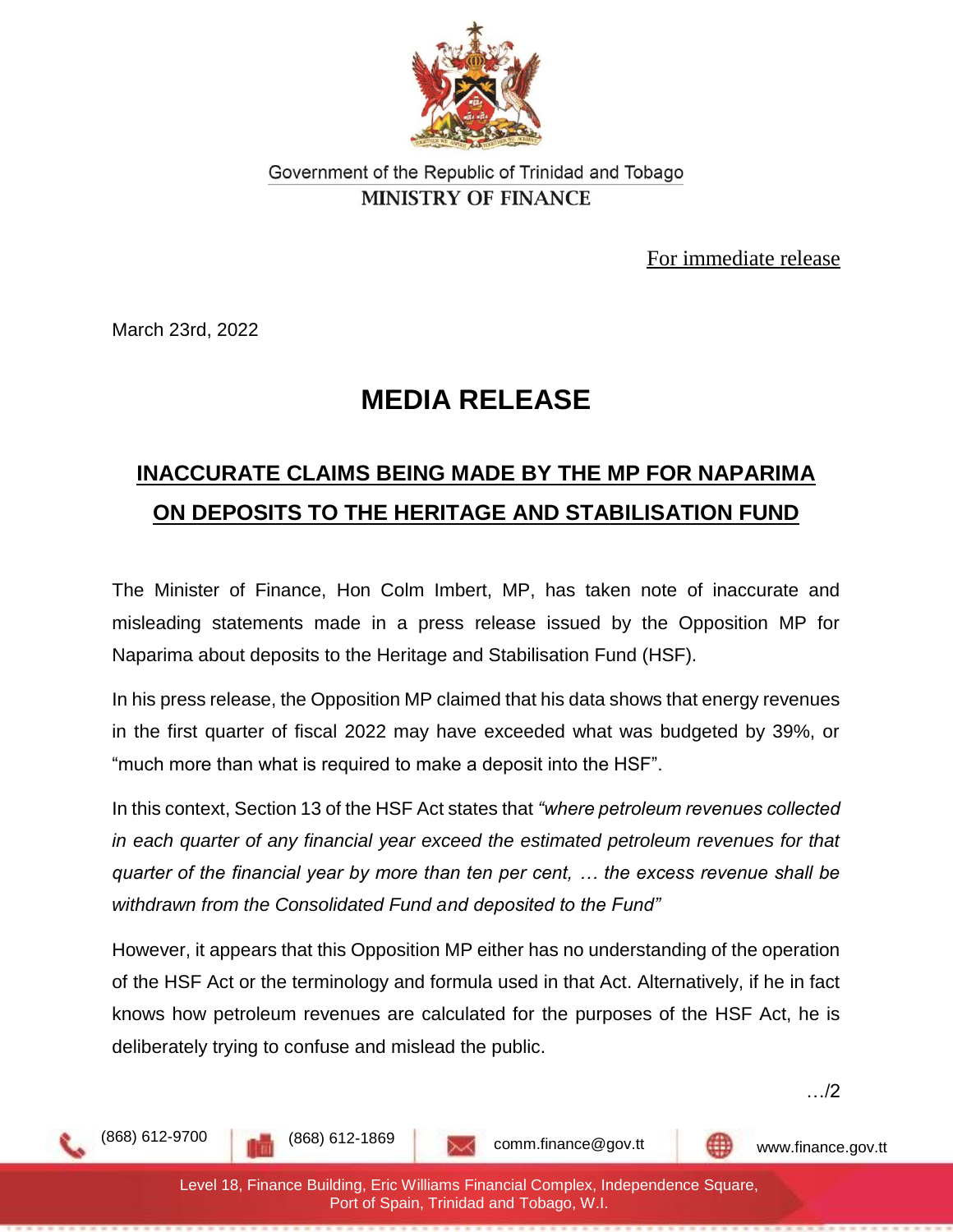

## Government of the Republic of Trinidad and Tobago **MINISTRY OF FINANCE**

For immediate release

March 23rd, 2022

## **MEDIA RELEASE**

## **INACCURATE CLAIMS BEING MADE BY THE MP FOR NAPARIMA ON DEPOSITS TO THE HERITAGE AND STABILISATION FUND**

The Minister of Finance, Hon Colm Imbert, MP, has taken note of inaccurate and misleading statements made in a press release issued by the Opposition MP for Naparima about deposits to the Heritage and Stabilisation Fund (HSF).

In his press release, the Opposition MP claimed that his data shows that energy revenues in the first quarter of fiscal 2022 may have exceeded what was budgeted by 39%, or "much more than what is required to make a deposit into the HSF".

In this context, Section 13 of the HSF Act states that *"where petroleum revenues collected in each quarter of any financial year exceed the estimated petroleum revenues for that quarter of the financial year by more than ten per cent, … the excess revenue shall be withdrawn from the Consolidated Fund and deposited to the Fund"*

However, it appears that this Opposition MP either has no understanding of the operation of the HSF Act or the terminology and formula used in that Act. Alternatively, if he in fact knows how petroleum revenues are calculated for the purposes of the HSF Act, he is deliberately trying to confuse and mislead the public.

…/2

comm.finance@gov.tt www.finance.gov.tt

(868) 612-9700 (868) 612-1869

Level 18, Finance Building, Eric Williams Financial Complex, Independence Square, Port of Spain, Trinidad and Tobago, W.I.